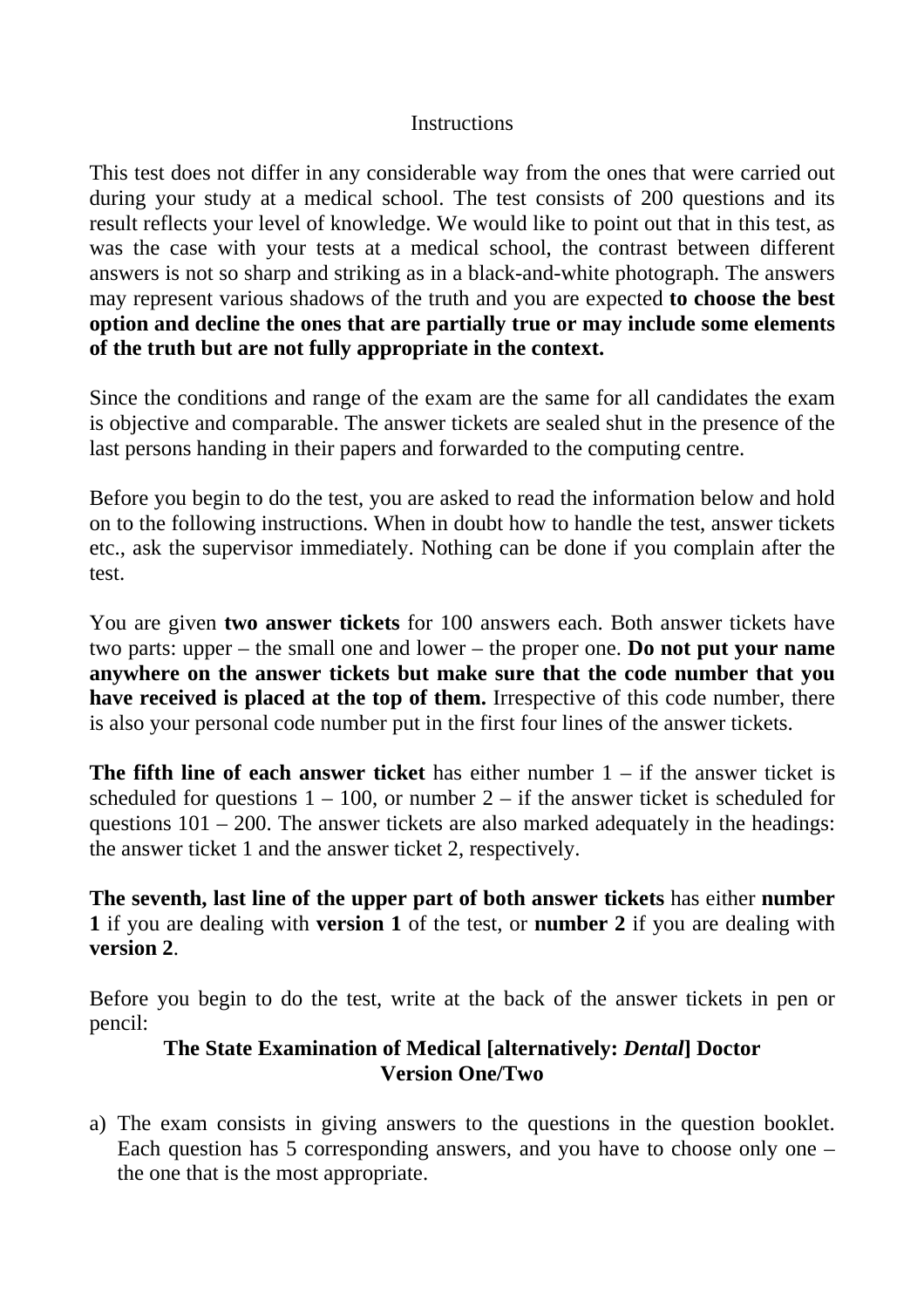## **Instructions**

This test does not differ in any considerable way from the ones that were carried out during your study at a medical school. The test consists of 200 questions and its result reflects your level of knowledge. We would like to point out that in this test, as was the case with your tests at a medical school, the contrast between different answers is not so sharp and striking as in a black-and-white photograph. The answers may represent various shadows of the truth and you are expected **to choose the best option and decline the ones that are partially true or may include some elements of the truth but are not fully appropriate in the context.** 

Since the conditions and range of the exam are the same for all candidates the exam is objective and comparable. The answer tickets are sealed shut in the presence of the last persons handing in their papers and forwarded to the computing centre.

Before you begin to do the test, you are asked to read the information below and hold on to the following instructions. When in doubt how to handle the test, answer tickets etc., ask the supervisor immediately. Nothing can be done if you complain after the test.

You are given **two answer tickets** for 100 answers each. Both answer tickets have two parts: upper – the small one and lower – the proper one. **Do not put your name anywhere on the answer tickets but make sure that the code number that you have received is placed at the top of them.** Irrespective of this code number, there is also your personal code number put in the first four lines of the answer tickets.

**The fifth line of each answer ticket** has either number 1 – if the answer ticket is scheduled for questions  $1 - 100$ , or number  $2 -$  if the answer ticket is scheduled for questions  $101 - 200$ . The answer tickets are also marked adequately in the headings: the answer ticket 1 and the answer ticket 2, respectively.

**The seventh, last line of the upper part of both answer tickets** has either **number 1** if you are dealing with **version 1** of the test, or **number 2** if you are dealing with **version 2**.

Before you begin to do the test, write at the back of the answer tickets in pen or pencil:

## **The State Examination of Medical [alternatively:** *Dental***] Doctor Version One/Two**

a) The exam consists in giving answers to the questions in the question booklet. Each question has 5 corresponding answers, and you have to choose only one – the one that is the most appropriate.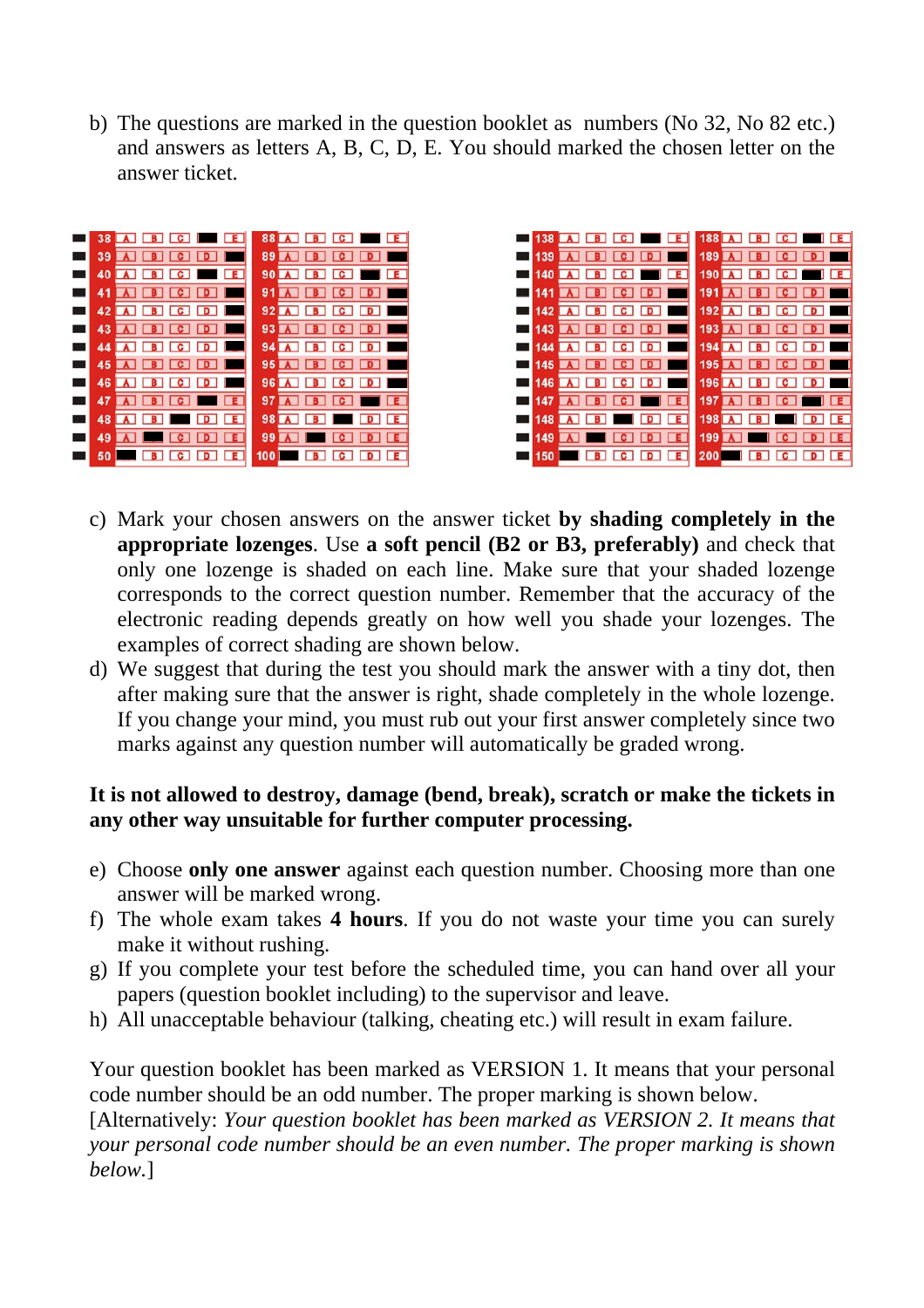b) The questions are marked in the question booklet as numbers (No 32, No 82 etc.) and answers as letters A, B, C, D, E. You should marked the chosen letter on the answer ticket.





- c) Mark your chosen answers on the answer ticket **by shading completely in the appropriate lozenges**. Use **a soft pencil (B2 or B3, preferably)** and check that only one lozenge is shaded on each line. Make sure that your shaded lozenge corresponds to the correct question number. Remember that the accuracy of the electronic reading depends greatly on how well you shade your lozenges. The examples of correct shading are shown below.
- d) We suggest that during the test you should mark the answer with a tiny dot, then after making sure that the answer is right, shade completely in the whole lozenge. If you change your mind, you must rub out your first answer completely since two marks against any question number will automatically be graded wrong.

## **It is not allowed to destroy, damage (bend, break), scratch or make the tickets in any other way unsuitable for further computer processing.**

- e) Choose **only one answer** against each question number. Choosing more than one answer will be marked wrong.
- f) The whole exam takes **4 hours**. If you do not waste your time you can surely make it without rushing.
- g) If you complete your test before the scheduled time, you can hand over all your papers (question booklet including) to the supervisor and leave.
- h) All unacceptable behaviour (talking, cheating etc.) will result in exam failure.

Your question booklet has been marked as VERSION 1. It means that your personal code number should be an odd number. The proper marking is shown below.

[Alternatively: *Your question booklet has been marked as VERSION 2. It means that your personal code number should be an even number. The proper marking is shown below.*]